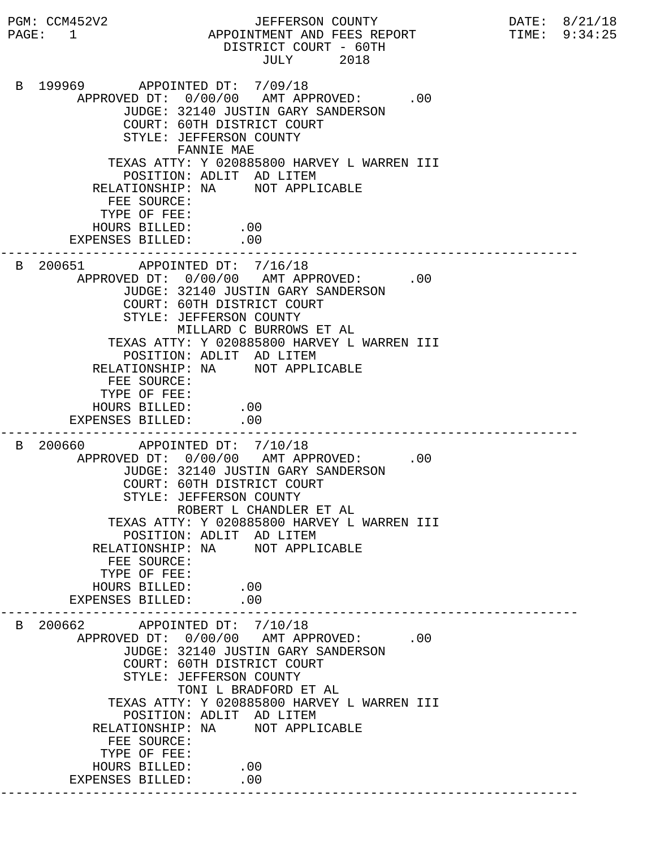PGM: CCM452V2 JEFFERSON COUNTY DATE: 8/21/18 PAGE: 1 APPOINTMENT AND FEES REPORT TIME: 9:34:25 DISTRICT COURT - 60TH JULY 2018 B 199969 APPOINTED DT: 7/09/18 APPROVED DT:  $0/00/00$  AMT APPROVED: .00 JUDGE: 32140 JUSTIN GARY SANDERSON COURT: 60TH DISTRICT COURT STYLE: JEFFERSON COUNTY FANNIE MAE TEXAS ATTY: Y 020885800 HARVEY L WARREN III POSITION: ADLIT AD LITEM RELATIONSHIP: NA NOT APPLICABLE FEE SOURCE: TYPE OF FEE: HOURS BILLED: .00 EXPENSES BILLED: .00 --------------------------------------------------------------------------- B 200651 APPOINTED DT: 7/16/18 APPROVED DT:  $0/00/00$  AMT APPROVED: .00 JUDGE: 32140 JUSTIN GARY SANDERSON COURT: 60TH DISTRICT COURT STYLE: JEFFERSON COUNTY MILLARD C BURROWS ET AL TEXAS ATTY: Y 020885800 HARVEY L WARREN III POSITION: ADLIT AD LITEM RELATIONSHIP: NA NOT APPLICABLE FEE SOURCE: TYPE OF FEE: HOURS BILLED: .00 EXPENSES BILLED: .00 --------------------------------------------------------------------------- B 200660 APPOINTED DT: 7/10/18 APPROVED DT:  $0/00/00$  AMT APPROVED: .00 JUDGE: 32140 JUSTIN GARY SANDERSON COURT: 60TH DISTRICT COURT STYLE: JEFFERSON COUNTY ROBERT L CHANDLER ET AL TEXAS ATTY: Y 020885800 HARVEY L WARREN III POSITION: ADLIT AD LITEM RELATIONSHIP: NA NOT APPLICABLE FEE SOURCE: TYPE OF FEE: HOURS BILLED: .00<br>ENSES BILLED: .00 EXPENSES BILLED: --------------------------------------------------------------------------- B 200662 APPOINTED DT: 7/10/18 APPROVED DT:  $0/00/00$  AMT APPROVED: .00 JUDGE: 32140 JUSTIN GARY SANDERSON COURT: 60TH DISTRICT COURT STYLE: JEFFERSON COUNTY TONI L BRADFORD ET AL TEXAS ATTY: Y 020885800 HARVEY L WARREN III POSITION: ADLIT AD LITEM RELATIONSHIP: NA NOT APPLICABLE FEE SOURCE: TYPE OF FEE: HOURS BILLED: .00 EXPENSES BILLED: .00 ---------------------------------------------------------------------------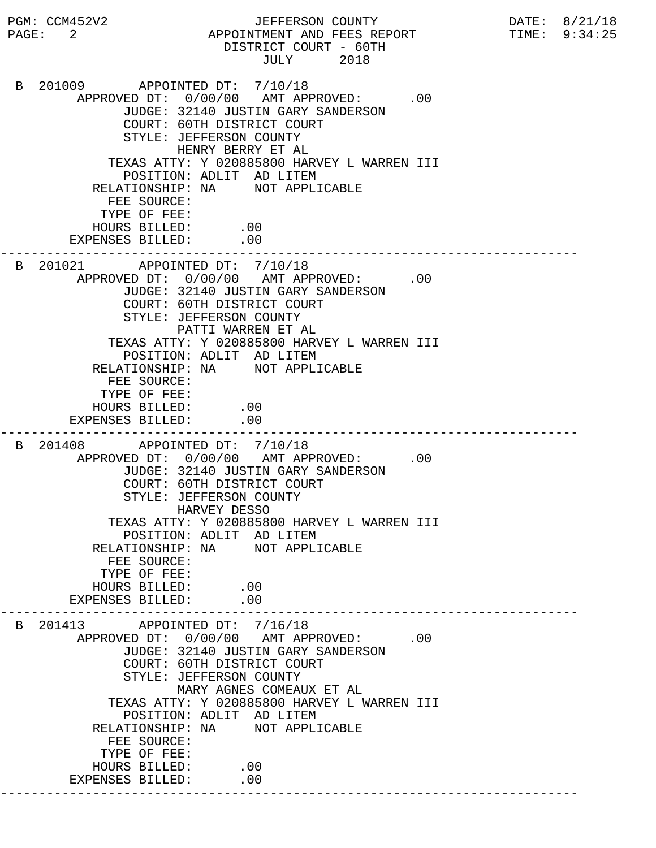PGM: CCM452V2 JEFFERSON COUNTY DATE: 8/21/18 PAGE: 2 APPOINTMENT AND FEES REPORT TIME: 9:34:25 DISTRICT COURT - 60TH JULY 2018 B 201009 APPOINTED DT: 7/10/18 APPROVED DT:  $0/00/00$  AMT APPROVED: .00 JUDGE: 32140 JUSTIN GARY SANDERSON COURT: 60TH DISTRICT COURT STYLE: JEFFERSON COUNTY HENRY BERRY ET AL TEXAS ATTY: Y 020885800 HARVEY L WARREN III POSITION: ADLIT AD LITEM RELATIONSHIP: NA NOT APPLICABLE FEE SOURCE: TYPE OF FEE: HOURS BILLED: .00 EXPENSES BILLED: .00 --------------------------------------------------------------------------- B 201021 APPOINTED DT: 7/10/18 APPROVED DT:  $0/00/00$  AMT APPROVED: .00 JUDGE: 32140 JUSTIN GARY SANDERSON COURT: 60TH DISTRICT COURT STYLE: JEFFERSON COUNTY PATTI WARREN ET AL TEXAS ATTY: Y 020885800 HARVEY L WARREN III POSITION: ADLIT AD LITEM RELATIONSHIP: NA NOT APPLICABLE FEE SOURCE: TYPE OF FEE: HOURS BILLED: .00 EXPENSES BILLED: .00 --------------------------------------------------------------------------- B 201408 APPOINTED DT: 7/10/18 APPROVED DT:  $0/00/00$  AMT APPROVED: .00 JUDGE: 32140 JUSTIN GARY SANDERSON COURT: 60TH DISTRICT COURT STYLE: JEFFERSON COUNTY HARVEY DESSO TEXAS ATTY: Y 020885800 HARVEY L WARREN III POSITION: ADLIT AD LITEM RELATIONSHIP: NA NOT APPLICABLE FEE SOURCE: TYPE OF FEE: HOURS BILLED: .00<br>PENSES BILLED: .00 EXPENSES BILLED: --------------------------------------------------------------------------- B 201413 APPOINTED DT: 7/16/18 APPROVED DT:  $0/00/00$  AMT APPROVED: .00 JUDGE: 32140 JUSTIN GARY SANDERSON COURT: 60TH DISTRICT COURT STYLE: JEFFERSON COUNTY MARY AGNES COMEAUX ET AL TEXAS ATTY: Y 020885800 HARVEY L WARREN III POSITION: ADLIT AD LITEM RELATIONSHIP: NA NOT APPLICABLE FEE SOURCE: TYPE OF FEE: HOURS BILLED: .00 EXPENSES BILLED: .00 ---------------------------------------------------------------------------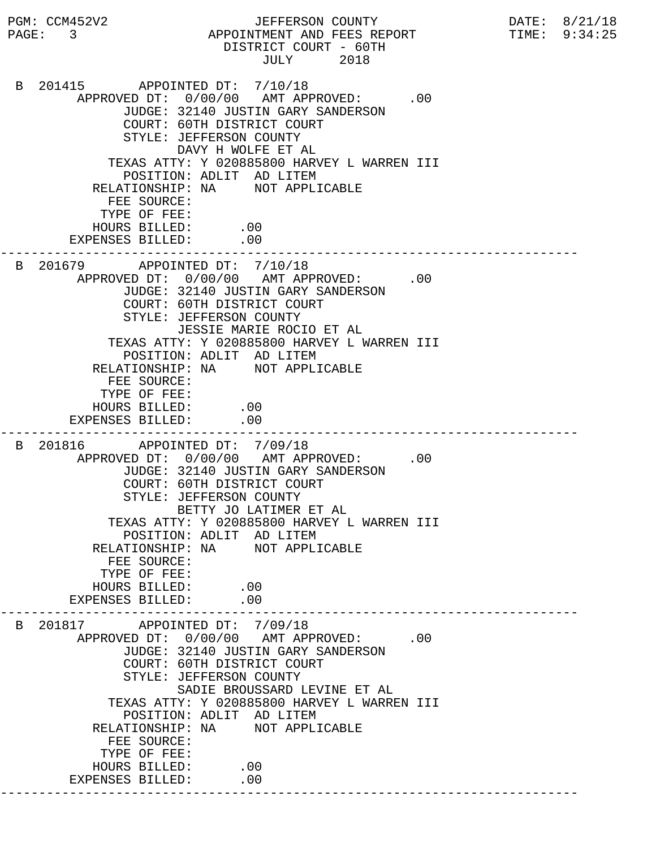PGM: CCM452V2 JEFFERSON COUNTY DATE: 8/21/18 PAGE: 3 APPOINTMENT AND FEES REPORT TIME: 9:34:25 DISTRICT COURT - 60TH JULY 2018 B 201415 APPOINTED DT: 7/10/18 APPROVED DT:  $0/00/00$  AMT APPROVED: .00 JUDGE: 32140 JUSTIN GARY SANDERSON COURT: 60TH DISTRICT COURT STYLE: JEFFERSON COUNTY DAVY H WOLFE ET AL TEXAS ATTY: Y 020885800 HARVEY L WARREN III POSITION: ADLIT AD LITEM RELATIONSHIP: NA NOT APPLICABLE FEE SOURCE: TYPE OF FEE: HOURS BILLED: .00 EXPENSES BILLED: .00 --------------------------------------------------------------------------- B 201679 APPOINTED DT: 7/10/18 APPROVED DT:  $0/00/00$  AMT APPROVED: .00 JUDGE: 32140 JUSTIN GARY SANDERSON COURT: 60TH DISTRICT COURT STYLE: JEFFERSON COUNTY JESSIE MARIE ROCIO ET AL TEXAS ATTY: Y 020885800 HARVEY L WARREN III POSITION: ADLIT AD LITEM RELATIONSHIP: NA NOT APPLICABLE FEE SOURCE: TYPE OF FEE: HOURS BILLED: .00 EXPENSES BILLED: .00 --------------------------------------------------------------------------- B 201816 APPOINTED DT: 7/09/18 APPROVED DT:  $0/00/00$  AMT APPROVED: .00 JUDGE: 32140 JUSTIN GARY SANDERSON COURT: 60TH DISTRICT COURT STYLE: JEFFERSON COUNTY BETTY JO LATIMER ET AL TEXAS ATTY: Y 020885800 HARVEY L WARREN III POSITION: ADLIT AD LITEM RELATIONSHIP: NA NOT APPLICABLE FEE SOURCE: TYPE OF FEE: HOURS BILLED: .00<br>ENSES BILLED: .00 EXPENSES BILLED: --------------------------------------------------------------------------- B 201817 APPOINTED DT: 7/09/18 APPROVED DT:  $0/00/00$  AMT APPROVED: .00 JUDGE: 32140 JUSTIN GARY SANDERSON COURT: 60TH DISTRICT COURT STYLE: JEFFERSON COUNTY SADIE BROUSSARD LEVINE ET AL TEXAS ATTY: Y 020885800 HARVEY L WARREN III POSITION: ADLIT AD LITEM RELATIONSHIP: NA NOT APPLICABLE FEE SOURCE: TYPE OF FEE: HOURS BILLED: .00 EXPENSES BILLED: .00 ---------------------------------------------------------------------------